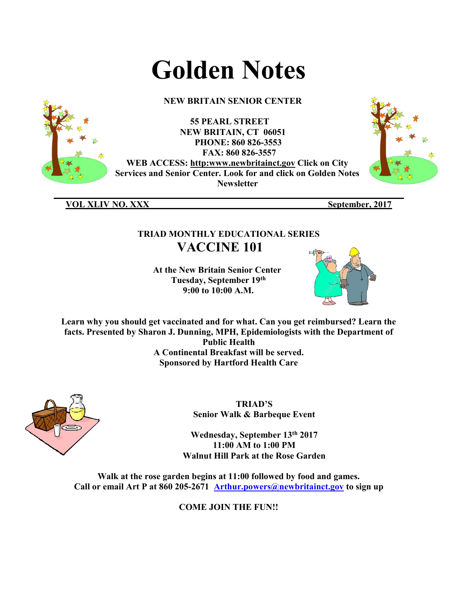# Golden Notes

## NEW BRITAIN SENIOR CENTER

55 PEARL STREET NEW BRITAIN, CT 06051 PHONE: 860 826-3553 FAX: 860 826-3557 WEB ACCESS: http:www.newbritainct.gov Click on City Services and Senior Center. Look for and click on Golden Notes **Newsletter** 



VOL XLIV NO. XXX September, 2017

# TRIAD MONTHLY EDUCATIONAL SERIES VACCINE 101

\_\_\_\_\_\_\_\_\_\_\_\_\_\_\_\_\_\_\_\_\_\_\_\_\_\_\_\_\_\_\_\_\_\_\_\_\_\_\_\_\_\_\_\_\_\_\_\_\_\_\_\_\_\_\_\_\_\_\_\_\_\_\_\_\_\_\_\_\_\_\_\_\_\_\_\_\_\_

 At the New Britain Senior Center Tuesday, September 19th 9:00 to 10:00 A.M.



Learn why you should get vaccinated and for what. Can you get reimbursed? Learn the facts. Presented by Sharon J. Dunning, MPH, Epidemiologists with the Department of Public Health A Continental Breakfast will be served. Sponsored by Hartford Health Care



TRIAD'S Senior Walk & Barbeque Event

Wednesday, September 13th 2017 11:00 AM to 1:00 PM Walnut Hill Park at the Rose Garden

Walk at the rose garden begins at 11:00 followed by food and games. Call or email Art P at 860 205-2671 Arthur.powers@newbritainct.gov to sign up

COME JOIN THE FUN!!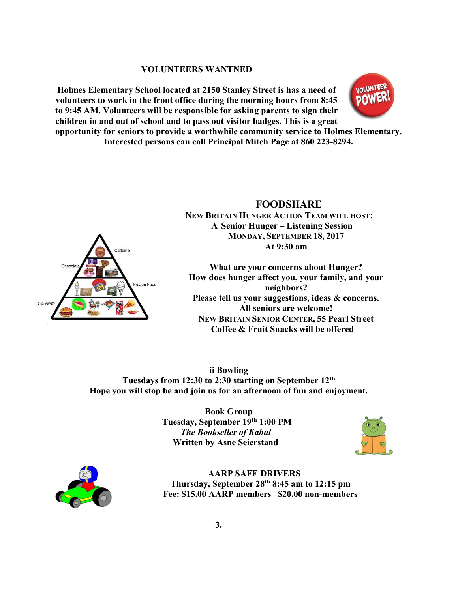#### VOLUNTEERS WANTNED

Holmes Elementary School located at 2150 Stanley Street is has a need of volunteers to work in the front office during the morning hours from 8:45 to 9:45 AM. Volunteers will be responsible for asking parents to sign their children in and out of school and to pass out visitor badges. This is a great



opportunity for seniors to provide a worthwhile community service to Holmes Elementary. Interested persons can call Principal Mitch Page at 860 223-8294.



 FOODSHARE NEW BRITAIN HUNGER ACTION TEAM WILL HOST: A Senior Hunger – Listening Session MONDAY, SEPTEMBER 18, 2017 At 9:30 am

What are your concerns about Hunger? How does hunger affect you, your family, and your neighbors? Please tell us your suggestions, ideas & concerns. All seniors are welcome! NEW BRITAIN SENIOR CENTER, 55 Pearl Street Coffee & Fruit Snacks will be offered

ii Bowling Tuesdays from 12:30 to 2:30 starting on September 12th Hope you will stop be and join us for an afternoon of fun and enjoyment.

> Book Group Tuesday, September 19th 1:00 PM The Bookseller of Kabul Written by Asne Seierstand





AARP SAFE DRIVERS Thursday, September 28th 8:45 am to 12:15 pm Fee: \$15.00 AARP members \$20.00 non-members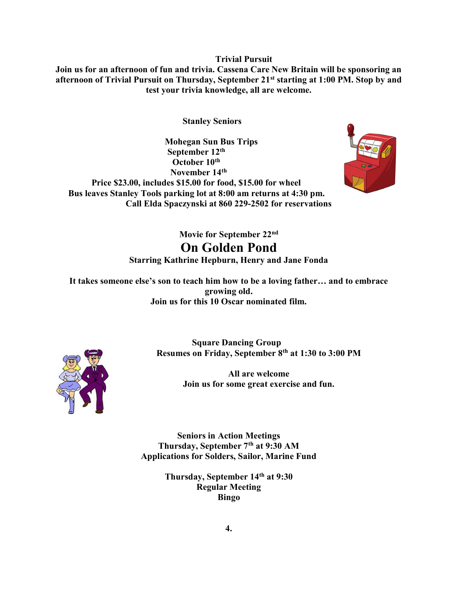Trivial Pursuit

Join us for an afternoon of fun and trivia. Cassena Care New Britain will be sponsoring an afternoon of Trivial Pursuit on Thursday, September 21st starting at 1:00 PM. Stop by and test your trivia knowledge, all are welcome.

Stanley Seniors

 Mohegan Sun Bus Trips September 12th October 10<sup>th</sup> November 14th Price \$23.00, includes \$15.00 for food, \$15.00 for wheel Bus leaves Stanley Tools parking lot at 8:00 am returns at 4:30 pm. Call Elda Spaczynski at 860 229-2502 for reservations



Movie for September 22<sup>nd</sup> On Golden Pond Starring Kathrine Hepburn, Henry and Jane Fonda

It takes someone else's son to teach him how to be a loving father… and to embrace growing old. Join us for this 10 Oscar nominated film.



 Square Dancing Group Resumes on Friday, September 8th at 1:30 to 3:00 PM

> All are welcome Join us for some great exercise and fun.

Seniors in Action Meetings Thursday, September 7th at 9:30 AM Applications for Solders, Sailor, Marine Fund

> Thursday, September 14<sup>th</sup> at 9:30 Regular Meeting Bingo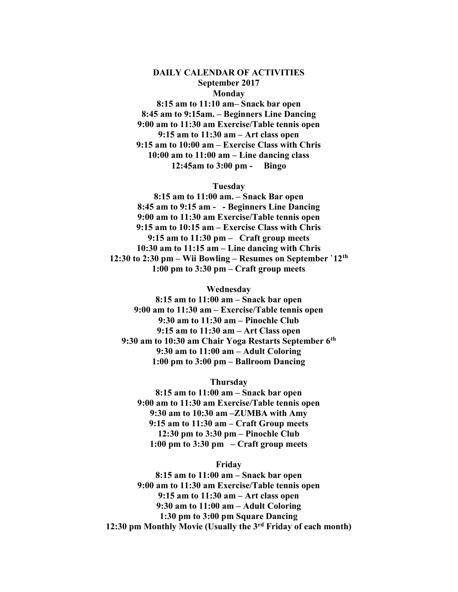### DAILY CALENDAR OF ACTIVITIES September 2017 Monday

8:15 am to 11:10 am– Snack bar open 8:45 am to 9:15am. – Beginners Line Dancing 9:00 am to 11:30 am Exercise/Table tennis open 9:15 am to 11:30 am – Art class open 9:15 am to 10:00 am – Exercise Class with Chris 10:00 am to 11:00 am – Line dancing class 12:45am to 3:00 pm - Bingo

#### Tuesday

8:15 am to 11:00 am. – Snack Bar open 8:45 am to 9:15 am - - Beginners Line Dancing 9:00 am to 11:30 am Exercise/Table tennis open 9:15 am to 10:15 am – Exercise Class with Chris 9:15 am to 11:30 pm – Craft group meets 10:30 am to 11:15 am – Line dancing with Chris 12:30 to 2:30 pm – Wii Bowling – Resumes on September `12th 1:00 pm to 3:30 pm – Craft group meets

Wednesday

8:15 am to 11:00 am – Snack bar open 9:00 am to 11:30 am – Exercise/Table tennis open 9:30 am to 11:30 am – Pinochle Club 9:15 am to 11:30 am – Art Class open 9:30 am to 10:30 am Chair Yoga Restarts September 6th 9:30 am to 11:00 am – Adult Coloring 1:00 pm to 3:00 pm – Ballroom Dancing

Thursday 8:15 am to 11:00 am – Snack bar open 9:00 am to 11:30 am Exercise/Table tennis open 9:30 am to 10:30 am –ZUMBA with Amy 9:15 am to 11:30 am – Craft Group meets 12:30 pm to 3:30 pm – Pinochle Club 1:00 pm to  $3:30 \text{ pm} - \text{Craff}$  group meets

Friday

8:15 am to 11:00 am – Snack bar open 9:00 am to 11:30 am Exercise/Table tennis open 9:15 am to 11:30 am – Art class open 9:30 am to 11:00 am – Adult Coloring 1:30 pm to 3:00 pm Square Dancing 12:30 pm Monthly Movie (Usually the 3rd Friday of each month)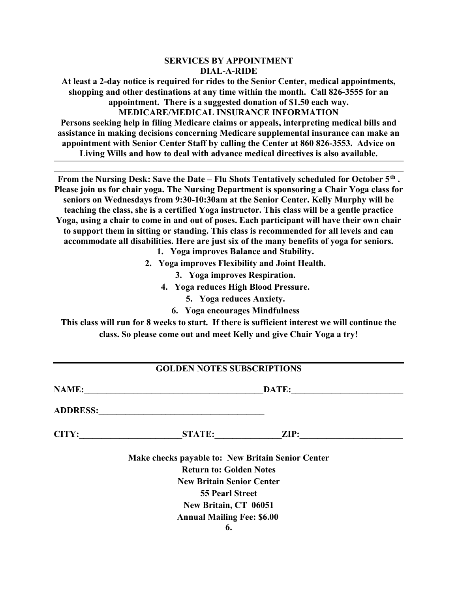## SERVICES BY APPOINTMENT DIAL-A-RIDE

At least a 2-day notice is required for rides to the Senior Center, medical appointments, shopping and other destinations at any time within the month. Call 826-3555 for an appointment. There is a suggested donation of \$1.50 each way. MEDICARE/MEDICAL INSURANCE INFORMATION

Persons seeking help in filing Medicare claims or appeals, interpreting medical bills and assistance in making decisions concerning Medicare supplemental insurance can make an appointment with Senior Center Staff by calling the Center at 860 826-3553. Advice on Living Wills and how to deal with advance medical directives is also available.

From the Nursing Desk: Save the Date – Flu Shots Tentatively scheduled for October  $5<sup>th</sup>$ . Please join us for chair yoga. The Nursing Department is sponsoring a Chair Yoga class for seniors on Wednesdays from 9:30-10:30am at the Senior Center. Kelly Murphy will be teaching the class, she is a certified Yoga instructor. This class will be a gentle practice Yoga, using a chair to come in and out of poses. Each participant will have their own chair to support them in sitting or standing. This class is recommended for all levels and can accommodate all disabilities. Here are just six of the many benefits of yoga for seniors.

- 1. Yoga improves Balance and Stability.
- 2. Yoga improves Flexibility and Joint Health.
	- 3. Yoga improves Respiration.
	- 4. Yoga reduces High Blood Pressure.
		- 5. Yoga reduces Anxiety.
		- 6. Yoga encourages Mindfulness

This class will run for 8 weeks to start. If there is sufficient interest we will continue the class. So please come out and meet Kelly and give Chair Yoga a try!

| <b>GOLDEN NOTES SUBSCRIPTIONS</b> |                                                             |                 |  |  |  |  |  |
|-----------------------------------|-------------------------------------------------------------|-----------------|--|--|--|--|--|
| <b>NAME:</b>                      | DATE:                                                       |                 |  |  |  |  |  |
| <b>ADDRESS:</b>                   | <u> 1989 - Johann Stoff, amerikansk politiker (d. 1989)</u> |                 |  |  |  |  |  |
| CITY:                             | STATE:                                                      | $\mathbf{ZIP:}$ |  |  |  |  |  |
|                                   | Make checks payable to: New Britain Senior Center           |                 |  |  |  |  |  |
|                                   | <b>Return to: Golden Notes</b>                              |                 |  |  |  |  |  |
|                                   | <b>New Britain Senior Center</b>                            |                 |  |  |  |  |  |
|                                   | <b>55 Pearl Street</b>                                      |                 |  |  |  |  |  |
|                                   | New Britain, CT 06051                                       |                 |  |  |  |  |  |
|                                   | <b>Annual Mailing Fee: \$6.00</b>                           |                 |  |  |  |  |  |
|                                   | 6.                                                          |                 |  |  |  |  |  |